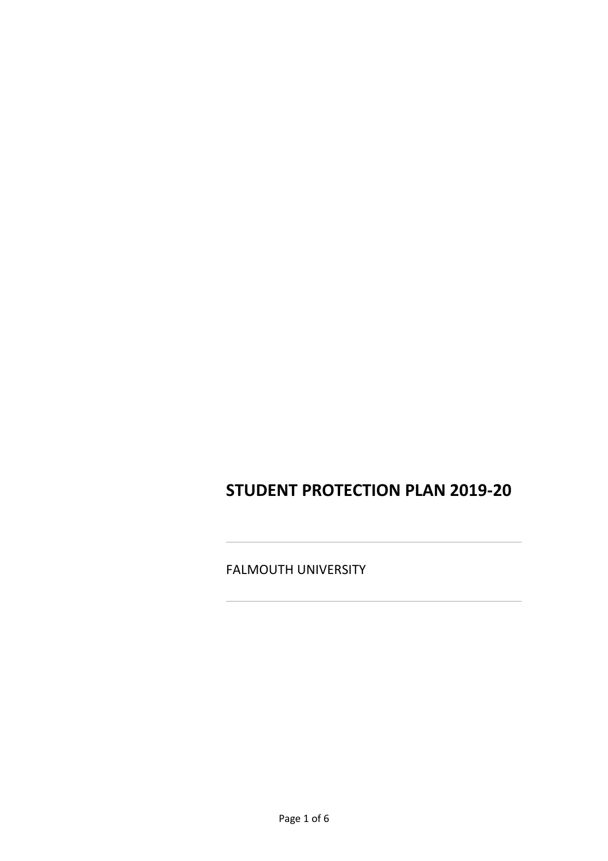# **STUDENT PROTECTION PLAN 2019-20**

FALMOUTH UNIVERSITY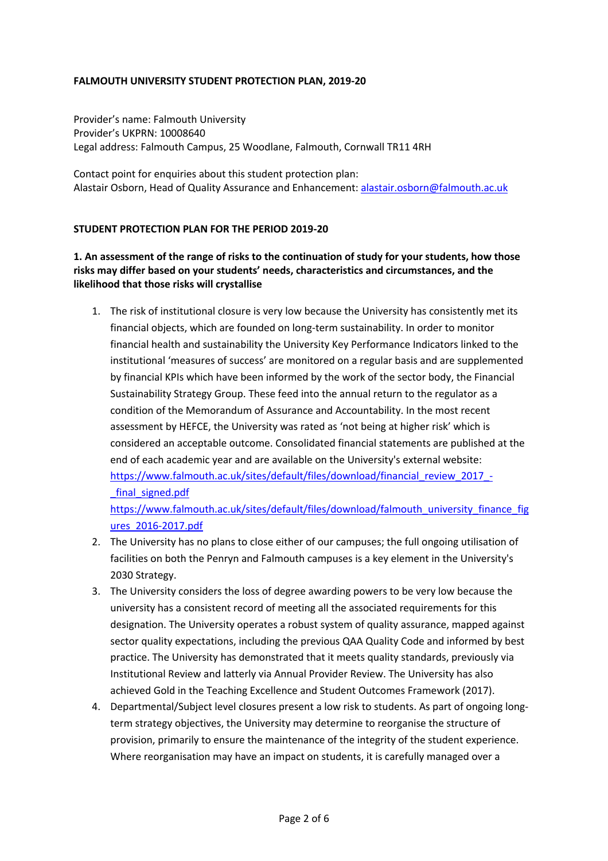#### **FALMOUTH UNIVERSITY STUDENT PROTECTION PLAN, 2019-20**

Provider's name: Falmouth University Provider's UKPRN: 10008640 Legal address: Falmouth Campus, 25 Woodlane, Falmouth, Cornwall TR11 4RH

Contact point for enquiries about this student protection plan: Alastair Osborn, Head of Quality Assurance and Enhancement: alastair.osborn@falmouth.ac.uk

#### **STUDENT PROTECTION PLAN FOR THE PERIOD 2019-20**

### **1. An assessment of the range of risks to the continuation of study for your students, how those risks may differ based on your students' needs, characteristics and circumstances, and the likelihood that those risks will crystallise**

1. The risk of institutional closure is very low because the University has consistently met its financial objects, which are founded on long-term sustainability. In order to monitor financial health and sustainability the University Key Performance Indicators linked to the institutional 'measures of success' are monitored on a regular basis and are supplemented by financial KPIs which have been informed by the work of the sector body, the Financial Sustainability Strategy Group. These feed into the annual return to the regulator as a condition of the Memorandum of Assurance and Accountability. In the most recent assessment by HEFCE, the University was rated as 'not being at higher risk' which is considered an acceptable outcome. Consolidated financial statements are published at the end of each academic year and are available on the University's external website: https://www.falmouth.ac.uk/sites/default/files/download/financial\_review\_2017\_-\_final\_signed.pdf

https://www.falmouth.ac.uk/sites/default/files/download/falmouth\_university\_finance\_fig ures\_2016-2017.pdf

- 2. The University has no plans to close either of our campuses; the full ongoing utilisation of facilities on both the Penryn and Falmouth campuses is a key element in the University's 2030 Strategy.
- 3. The University considers the loss of degree awarding powers to be very low because the university has a consistent record of meeting all the associated requirements for this designation. The University operates a robust system of quality assurance, mapped against sector quality expectations, including the previous QAA Quality Code and informed by best practice. The University has demonstrated that it meets quality standards, previously via Institutional Review and latterly via Annual Provider Review. The University has also achieved Gold in the Teaching Excellence and Student Outcomes Framework (2017).
- 4. Departmental/Subject level closures present a low risk to students. As part of ongoing longterm strategy objectives, the University may determine to reorganise the structure of provision, primarily to ensure the maintenance of the integrity of the student experience. Where reorganisation may have an impact on students, it is carefully managed over a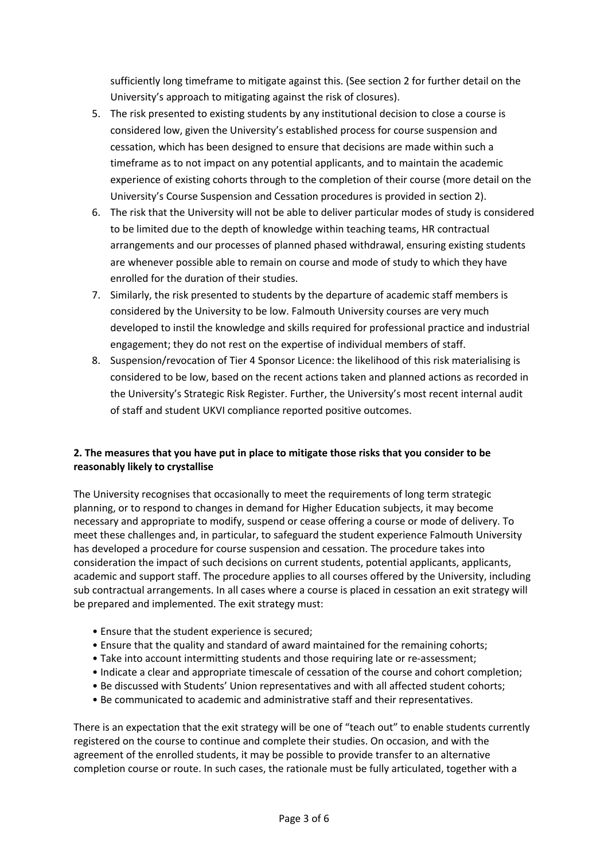sufficiently long timeframe to mitigate against this. (See section 2 for further detail on the University's approach to mitigating against the risk of closures).

- 5. The risk presented to existing students by any institutional decision to close a course is considered low, given the University's established process for course suspension and cessation, which has been designed to ensure that decisions are made within such a timeframe as to not impact on any potential applicants, and to maintain the academic experience of existing cohorts through to the completion of their course (more detail on the University's Course Suspension and Cessation procedures is provided in section 2).
- 6. The risk that the University will not be able to deliver particular modes of study is considered to be limited due to the depth of knowledge within teaching teams, HR contractual arrangements and our processes of planned phased withdrawal, ensuring existing students are whenever possible able to remain on course and mode of study to which they have enrolled for the duration of their studies.
- 7. Similarly, the risk presented to students by the departure of academic staff members is considered by the University to be low. Falmouth University courses are very much developed to instil the knowledge and skills required for professional practice and industrial engagement; they do not rest on the expertise of individual members of staff.
- 8. Suspension/revocation of Tier 4 Sponsor Licence: the likelihood of this risk materialising is considered to be low, based on the recent actions taken and planned actions as recorded in the University's Strategic Risk Register. Further, the University's most recent internal audit of staff and student UKVI compliance reported positive outcomes.

#### **2. The measures that you have put in place to mitigate those risks that you consider to be reasonably likely to crystallise**

The University recognises that occasionally to meet the requirements of long term strategic planning, or to respond to changes in demand for Higher Education subjects, it may become necessary and appropriate to modify, suspend or cease offering a course or mode of delivery. To meet these challenges and, in particular, to safeguard the student experience Falmouth University has developed a procedure for course suspension and cessation. The procedure takes into consideration the impact of such decisions on current students, potential applicants, applicants, academic and support staff. The procedure applies to all courses offered by the University, including sub contractual arrangements. In all cases where a course is placed in cessation an exit strategy will be prepared and implemented. The exit strategy must:

- Ensure that the student experience is secured;
- Ensure that the quality and standard of award maintained for the remaining cohorts;
- Take into account intermitting students and those requiring late or re-assessment;
- Indicate a clear and appropriate timescale of cessation of the course and cohort completion;
- Be discussed with Students' Union representatives and with all affected student cohorts;
- Be communicated to academic and administrative staff and their representatives.

There is an expectation that the exit strategy will be one of "teach out" to enable students currently registered on the course to continue and complete their studies. On occasion, and with the agreement of the enrolled students, it may be possible to provide transfer to an alternative completion course or route. In such cases, the rationale must be fully articulated, together with a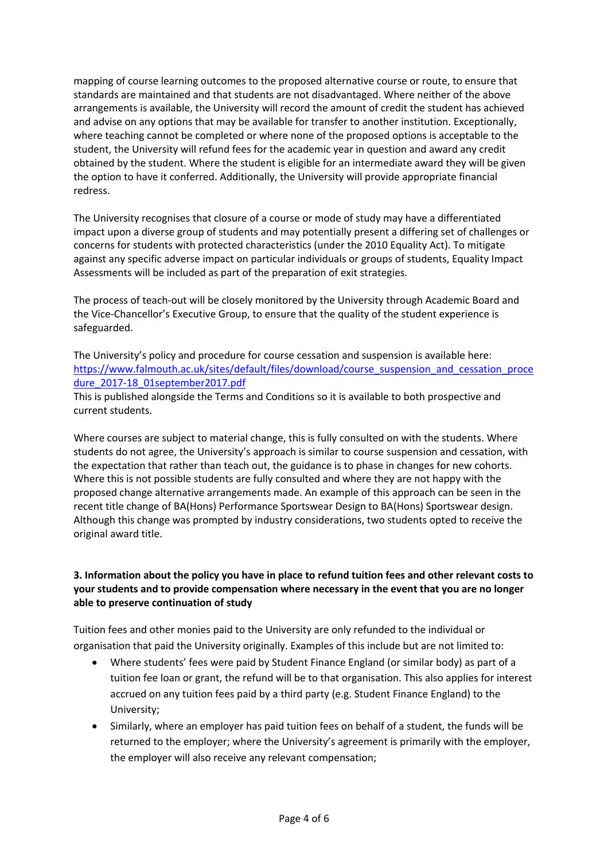mapping of course learning outcomes to the proposed alternative course or route, to ensure that standards are maintained and that students are not disadvantaged. Where neither of the above arrangements is available, the University will record the amount of credit the student has achieved and advise on any options that may be available for transfer to another institution. Exceptionally, where teaching cannot be completed or where none of the proposed options is acceptable to the student, the University will refund fees for the academic year in question and award any credit obtained by the student. Where the student is eligible for an intermediate award they will be given the option to have it conferred. Additionally, the University will provide appropriate financial redress.

The University recognises that closure of a course or mode of study may have a differentiated impact upon a diverse group of students and may potentially present a differing set of challenges or concerns for students with protected characteristics (under the 2010 Equality Act). To mitigate against any specific adverse impact on particular individuals or groups of students, Equality Impact Assessments will be included as part of the preparation of exit strategies.

The process of teach-out will be closely monitored by the University through Academic Board and the Vice-Chancellor's Executive Group, to ensure that the quality of the student experience is safeguarded.

The University's policy and procedure for course cessation and suspension is available here: https://www.falmouth.ac.uk/sites/default/files/download/course\_suspension\_and\_cessation\_proce dure\_2017-18\_01september2017.pdf

This is published alongside the Terms and Conditions so it is available to both prospective and current students.

Where courses are subject to material change, this is fully consulted on with the students. Where students do not agree, the University's approach is similar to course suspension and cessation, with the expectation that rather than teach out, the guidance is to phase in changes for new cohorts. Where this is not possible students are fully consulted and where they are not happy with the proposed change alternative arrangements made. An example of this approach can be seen in the recent title change of BA(Hons) Performance Sportswear Design to BA(Hons) Sportswear design. Although this change was prompted by industry considerations, two students opted to receive the original award title.

## **3. Information about the policy you have in place to refund tuition fees and other relevant costs to your students and to provide compensation where necessary in the event that you are no longer able to preserve continuation of study**

Tuition fees and other monies paid to the University are only refunded to the individual or organisation that paid the University originally. Examples of this include but are not limited to:

- Where students' fees were paid by Student Finance England (or similar body) as part of a tuition fee loan or grant, the refund will be to that organisation. This also applies for interest accrued on any tuition fees paid by a third party (e.g. Student Finance England) to the University;
- Similarly, where an employer has paid tuition fees on behalf of a student, the funds will be returned to the employer; where the University's agreement is primarily with the employer, the employer will also receive any relevant compensation;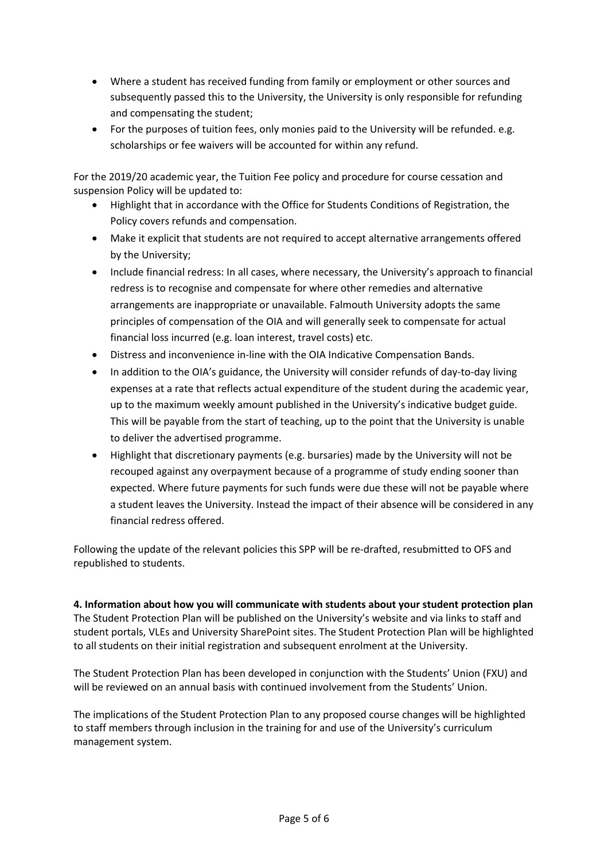- Where a student has received funding from family or employment or other sources and subsequently passed this to the University, the University is only responsible for refunding and compensating the student;
- For the purposes of tuition fees, only monies paid to the University will be refunded. e.g. scholarships or fee waivers will be accounted for within any refund.

For the 2019/20 academic year, the Tuition Fee policy and procedure for course cessation and suspension Policy will be updated to:

- Highlight that in accordance with the Office for Students Conditions of Registration, the Policy covers refunds and compensation.
- Make it explicit that students are not required to accept alternative arrangements offered by the University;
- Include financial redress: In all cases, where necessary, the University's approach to financial redress is to recognise and compensate for where other remedies and alternative arrangements are inappropriate or unavailable. Falmouth University adopts the same principles of compensation of the OIA and will generally seek to compensate for actual financial loss incurred (e.g. loan interest, travel costs) etc.
- Distress and inconvenience in-line with the OIA Indicative Compensation Bands.
- In addition to the OIA's guidance, the University will consider refunds of day-to-day living expenses at a rate that reflects actual expenditure of the student during the academic year, up to the maximum weekly amount published in the University's indicative budget guide. This will be payable from the start of teaching, up to the point that the University is unable to deliver the advertised programme.
- Highlight that discretionary payments (e.g. bursaries) made by the University will not be recouped against any overpayment because of a programme of study ending sooner than expected. Where future payments for such funds were due these will not be payable where a student leaves the University. Instead the impact of their absence will be considered in any financial redress offered.

Following the update of the relevant policies this SPP will be re-drafted, resubmitted to OFS and republished to students.

**4. Information about how you will communicate with students about your student protection plan** The Student Protection Plan will be published on the University's website and via links to staff and student portals, VLEs and University SharePoint sites. The Student Protection Plan will be highlighted to all students on their initial registration and subsequent enrolment at the University.

The Student Protection Plan has been developed in conjunction with the Students' Union (FXU) and will be reviewed on an annual basis with continued involvement from the Students' Union.

The implications of the Student Protection Plan to any proposed course changes will be highlighted to staff members through inclusion in the training for and use of the University's curriculum management system.